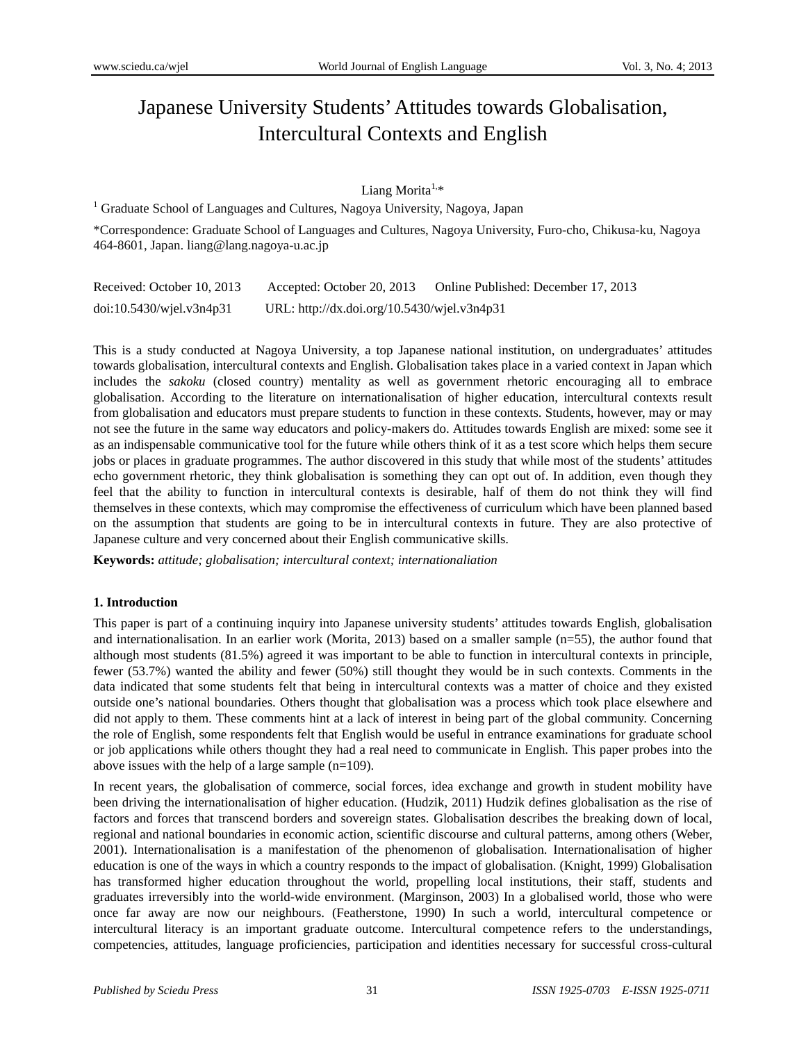# Japanese University Students' Attitudes towards Globalisation, Intercultural Contexts and English

Liang Morita<sup>1,\*</sup><br><sup>1</sup> Graduate School of Languages and Cultures, Nagoya University, Nagoya, Japan

\*Correspondence: Graduate School of Languages and Cultures, Nagoya University, Furo-cho, Chikusa-ku, Nagoya 464-8601, Japan. liang@lang.nagoya-u.ac.jp

Received: October 10, 2013 Accepted: October 20, 2013 Online Published: December 17, 2013 doi:10.5430/wjel.v3n4p31 URL: http://dx.doi.org/10.5430/wjel.v3n4p31

This is a study conducted at Nagoya University, a top Japanese national institution, on undergraduates' attitudes towards globalisation, intercultural contexts and English. Globalisation takes place in a varied context in Japan which includes the *sakoku* (closed country) mentality as well as government rhetoric encouraging all to embrace globalisation. According to the literature on internationalisation of higher education, intercultural contexts result from globalisation and educators must prepare students to function in these contexts. Students, however, may or may not see the future in the same way educators and policy-makers do. Attitudes towards English are mixed: some see it as an indispensable communicative tool for the future while others think of it as a test score which helps them secure jobs or places in graduate programmes. The author discovered in this study that while most of the students' attitudes echo government rhetoric, they think globalisation is something they can opt out of. In addition, even though they feel that the ability to function in intercultural contexts is desirable, half of them do not think they will find themselves in these contexts, which may compromise the effectiveness of curriculum which have been planned based on the assumption that students are going to be in intercultural contexts in future. They are also protective of Japanese culture and very concerned about their English communicative skills.

**Keywords:** *attitude; globalisation; intercultural context; internationaliation*

# **1. Introduction**

This paper is part of a continuing inquiry into Japanese university students' attitudes towards English, globalisation and internationalisation. In an earlier work (Morita, 2013) based on a smaller sample (n=55), the author found that although most students (81.5%) agreed it was important to be able to function in intercultural contexts in principle, fewer (53.7%) wanted the ability and fewer (50%) still thought they would be in such contexts. Comments in the data indicated that some students felt that being in intercultural contexts was a matter of choice and they existed outside one's national boundaries. Others thought that globalisation was a process which took place elsewhere and did not apply to them. These comments hint at a lack of interest in being part of the global community. Concerning the role of English, some respondents felt that English would be useful in entrance examinations for graduate school or job applications while others thought they had a real need to communicate in English. This paper probes into the above issues with the help of a large sample (n=109).

In recent years, the globalisation of commerce, social forces, idea exchange and growth in student mobility have been driving the internationalisation of higher education. (Hudzik, 2011) Hudzik defines globalisation as the rise of factors and forces that transcend borders and sovereign states. Globalisation describes the breaking down of local, regional and national boundaries in economic action, scientific discourse and cultural patterns, among others (Weber, 2001). Internationalisation is a manifestation of the phenomenon of globalisation. Internationalisation of higher education is one of the ways in which a country responds to the impact of globalisation. (Knight, 1999) Globalisation has transformed higher education throughout the world, propelling local institutions, their staff, students and graduates irreversibly into the world-wide environment. (Marginson, 2003) In a globalised world, those who were once far away are now our neighbours. (Featherstone, 1990) In such a world, intercultural competence or intercultural literacy is an important graduate outcome. Intercultural competence refers to the understandings, competencies, attitudes, language proficiencies, participation and identities necessary for successful cross-cultural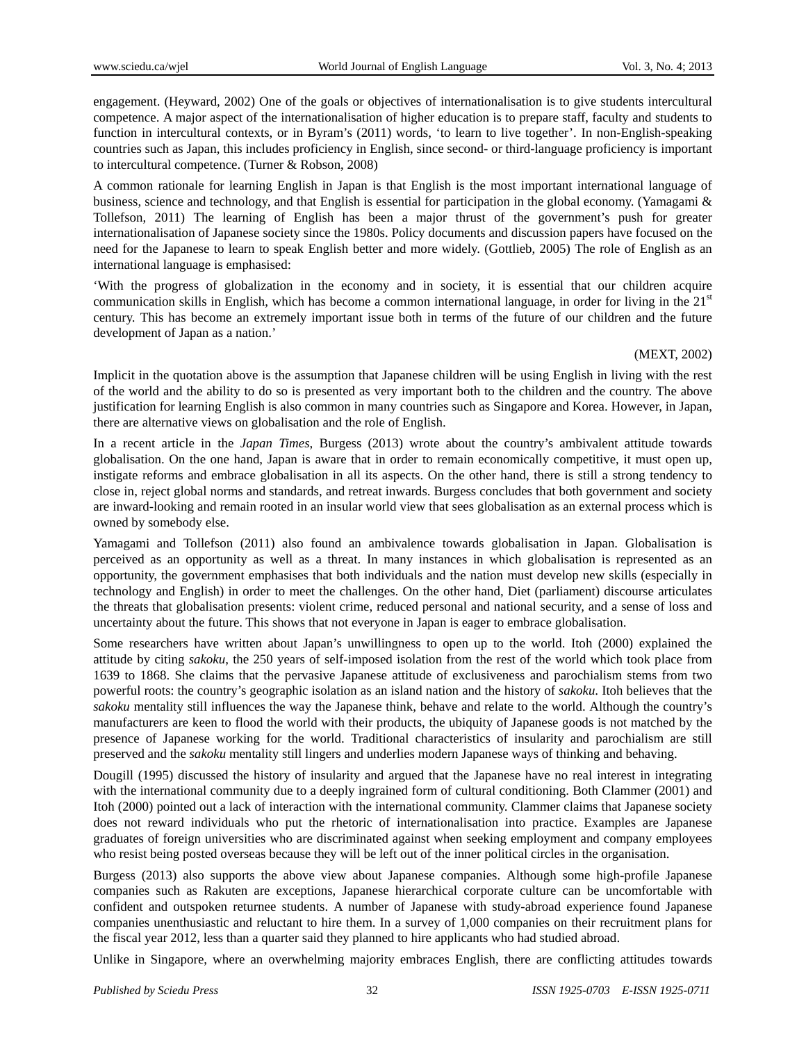engagement. (Heyward, 2002) One of the goals or objectives of internationalisation is to give students intercultural competence. A major aspect of the internationalisation of higher education is to prepare staff, faculty and students to function in intercultural contexts, or in Byram's (2011) words, 'to learn to live together'. In non-English-speaking countries such as Japan, this includes proficiency in English, since second- or third-language proficiency is important to intercultural competence. (Turner & Robson, 2008)

A common rationale for learning English in Japan is that English is the most important international language of business, science and technology, and that English is essential for participation in the global economy. (Yamagami & Tollefson, 2011) The learning of English has been a major thrust of the government's push for greater internationalisation of Japanese society since the 1980s. Policy documents and discussion papers have focused on the need for the Japanese to learn to speak English better and more widely. (Gottlieb, 2005) The role of English as an international language is emphasised:

'With the progress of globalization in the economy and in society, it is essential that our children acquire communication skills in English, which has become a common international language, in order for living in the  $21<sup>st</sup>$ century. This has become an extremely important issue both in terms of the future of our children and the future development of Japan as a nation.'

#### (MEXT, 2002)

Implicit in the quotation above is the assumption that Japanese children will be using English in living with the rest of the world and the ability to do so is presented as very important both to the children and the country. The above justification for learning English is also common in many countries such as Singapore and Korea. However, in Japan, there are alternative views on globalisation and the role of English.

In a recent article in the *Japan Times*, Burgess (2013) wrote about the country's ambivalent attitude towards globalisation. On the one hand, Japan is aware that in order to remain economically competitive, it must open up, instigate reforms and embrace globalisation in all its aspects. On the other hand, there is still a strong tendency to close in, reject global norms and standards, and retreat inwards. Burgess concludes that both government and society are inward-looking and remain rooted in an insular world view that sees globalisation as an external process which is owned by somebody else.

Yamagami and Tollefson (2011) also found an ambivalence towards globalisation in Japan. Globalisation is perceived as an opportunity as well as a threat. In many instances in which globalisation is represented as an opportunity, the government emphasises that both individuals and the nation must develop new skills (especially in technology and English) in order to meet the challenges. On the other hand, Diet (parliament) discourse articulates the threats that globalisation presents: violent crime, reduced personal and national security, and a sense of loss and uncertainty about the future. This shows that not everyone in Japan is eager to embrace globalisation.

Some researchers have written about Japan's unwillingness to open up to the world. Itoh (2000) explained the attitude by citing *sakoku*, the 250 years of self-imposed isolation from the rest of the world which took place from 1639 to 1868. She claims that the pervasive Japanese attitude of exclusiveness and parochialism stems from two powerful roots: the country's geographic isolation as an island nation and the history of *sakoku*. Itoh believes that the *sakoku* mentality still influences the way the Japanese think, behave and relate to the world. Although the country's manufacturers are keen to flood the world with their products, the ubiquity of Japanese goods is not matched by the presence of Japanese working for the world. Traditional characteristics of insularity and parochialism are still preserved and the *sakoku* mentality still lingers and underlies modern Japanese ways of thinking and behaving.

Dougill (1995) discussed the history of insularity and argued that the Japanese have no real interest in integrating with the international community due to a deeply ingrained form of cultural conditioning. Both Clammer (2001) and Itoh (2000) pointed out a lack of interaction with the international community. Clammer claims that Japanese society does not reward individuals who put the rhetoric of internationalisation into practice. Examples are Japanese graduates of foreign universities who are discriminated against when seeking employment and company employees who resist being posted overseas because they will be left out of the inner political circles in the organisation.

Burgess (2013) also supports the above view about Japanese companies. Although some high-profile Japanese companies such as Rakuten are exceptions, Japanese hierarchical corporate culture can be uncomfortable with confident and outspoken returnee students. A number of Japanese with study-abroad experience found Japanese companies unenthusiastic and reluctant to hire them. In a survey of 1,000 companies on their recruitment plans for the fiscal year 2012, less than a quarter said they planned to hire applicants who had studied abroad.

Unlike in Singapore, where an overwhelming majority embraces English, there are conflicting attitudes towards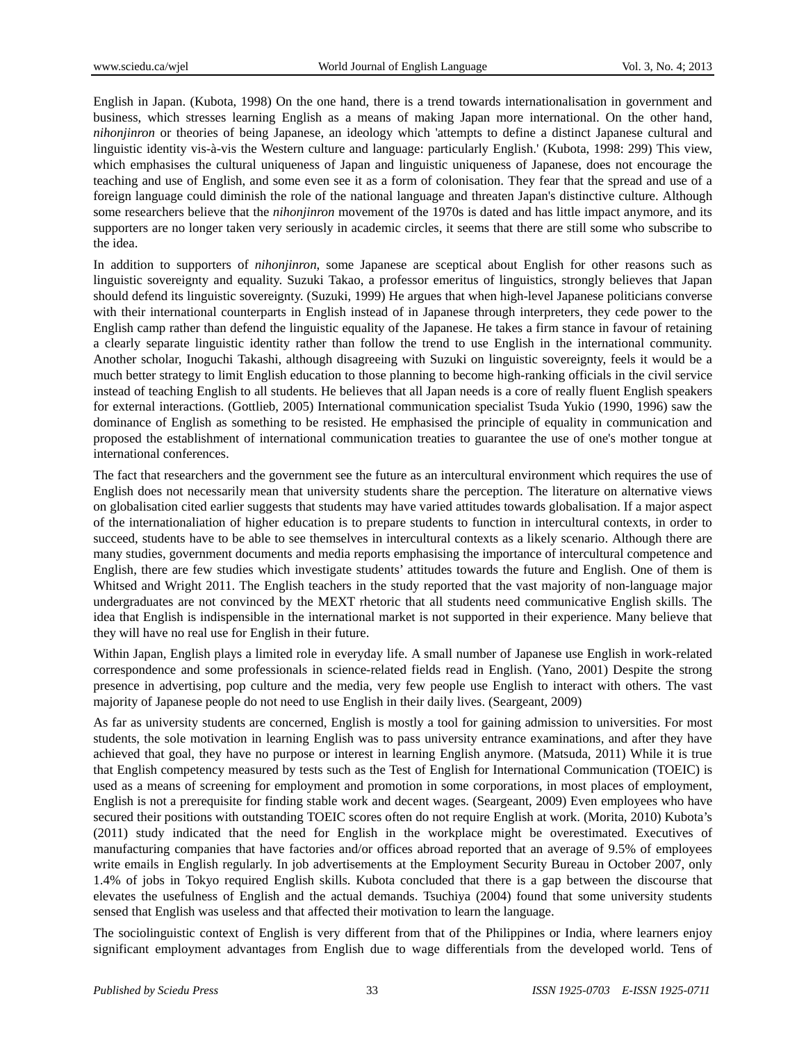English in Japan. (Kubota, 1998) On the one hand, there is a trend towards internationalisation in government and business, which stresses learning English as a means of making Japan more international. On the other hand, *nihonjinron* or theories of being Japanese, an ideology which 'attempts to define a distinct Japanese cultural and linguistic identity vis-à-vis the Western culture and language: particularly English.' (Kubota, 1998: 299) This view, which emphasises the cultural uniqueness of Japan and linguistic uniqueness of Japanese, does not encourage the teaching and use of English, and some even see it as a form of colonisation. They fear that the spread and use of a foreign language could diminish the role of the national language and threaten Japan's distinctive culture. Although some researchers believe that the *nihonjinron* movement of the 1970s is dated and has little impact anymore, and its supporters are no longer taken very seriously in academic circles, it seems that there are still some who subscribe to the idea.

In addition to supporters of *nihonjinron*, some Japanese are sceptical about English for other reasons such as linguistic sovereignty and equality. Suzuki Takao, a professor emeritus of linguistics, strongly believes that Japan should defend its linguistic sovereignty. (Suzuki, 1999) He argues that when high-level Japanese politicians converse with their international counterparts in English instead of in Japanese through interpreters, they cede power to the English camp rather than defend the linguistic equality of the Japanese. He takes a firm stance in favour of retaining a clearly separate linguistic identity rather than follow the trend to use English in the international community. Another scholar, Inoguchi Takashi, although disagreeing with Suzuki on linguistic sovereignty, feels it would be a much better strategy to limit English education to those planning to become high-ranking officials in the civil service instead of teaching English to all students. He believes that all Japan needs is a core of really fluent English speakers for external interactions. (Gottlieb, 2005) International communication specialist Tsuda Yukio (1990, 1996) saw the dominance of English as something to be resisted. He emphasised the principle of equality in communication and proposed the establishment of international communication treaties to guarantee the use of one's mother tongue at international conferences.

The fact that researchers and the government see the future as an intercultural environment which requires the use of English does not necessarily mean that university students share the perception. The literature on alternative views on globalisation cited earlier suggests that students may have varied attitudes towards globalisation. If a major aspect of the internationaliation of higher education is to prepare students to function in intercultural contexts, in order to succeed, students have to be able to see themselves in intercultural contexts as a likely scenario. Although there are many studies, government documents and media reports emphasising the importance of intercultural competence and English, there are few studies which investigate students' attitudes towards the future and English. One of them is Whitsed and Wright 2011. The English teachers in the study reported that the vast majority of non-language major undergraduates are not convinced by the MEXT rhetoric that all students need communicative English skills. The idea that English is indispensible in the international market is not supported in their experience. Many believe that they will have no real use for English in their future.

Within Japan, English plays a limited role in everyday life. A small number of Japanese use English in work-related correspondence and some professionals in science-related fields read in English. (Yano, 2001) Despite the strong presence in advertising, pop culture and the media, very few people use English to interact with others. The vast majority of Japanese people do not need to use English in their daily lives. (Seargeant, 2009)

As far as university students are concerned, English is mostly a tool for gaining admission to universities. For most students, the sole motivation in learning English was to pass university entrance examinations, and after they have achieved that goal, they have no purpose or interest in learning English anymore. (Matsuda, 2011) While it is true that English competency measured by tests such as the Test of English for International Communication (TOEIC) is used as a means of screening for employment and promotion in some corporations, in most places of employment, English is not a prerequisite for finding stable work and decent wages. (Seargeant, 2009) Even employees who have secured their positions with outstanding TOEIC scores often do not require English at work. (Morita, 2010) Kubota's (2011) study indicated that the need for English in the workplace might be overestimated. Executives of manufacturing companies that have factories and/or offices abroad reported that an average of 9.5% of employees write emails in English regularly. In job advertisements at the Employment Security Bureau in October 2007, only 1.4% of jobs in Tokyo required English skills. Kubota concluded that there is a gap between the discourse that elevates the usefulness of English and the actual demands. Tsuchiya (2004) found that some university students sensed that English was useless and that affected their motivation to learn the language.

The sociolinguistic context of English is very different from that of the Philippines or India, where learners enjoy significant employment advantages from English due to wage differentials from the developed world. Tens of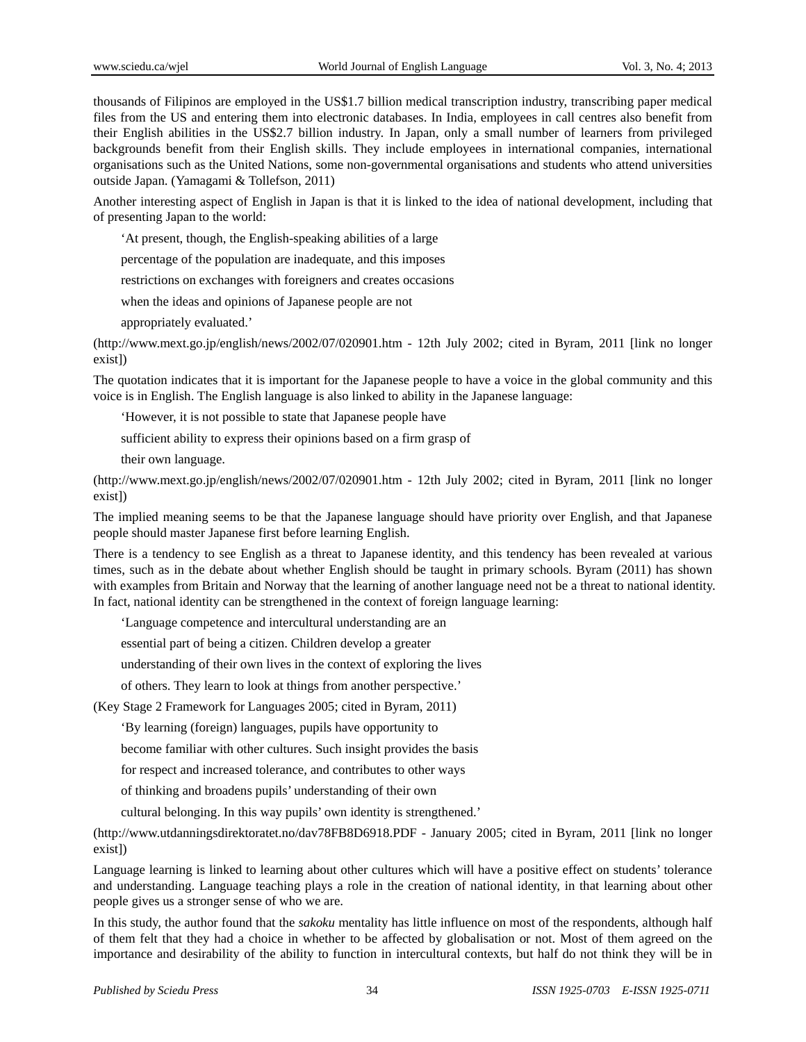thousands of Filipinos are employed in the US\$1.7 billion medical transcription industry, transcribing paper medical files from the US and entering them into electronic databases. In India, employees in call centres also benefit from their English abilities in the US\$2.7 billion industry. In Japan, only a small number of learners from privileged backgrounds benefit from their English skills. They include employees in international companies, international organisations such as the United Nations, some non-governmental organisations and students who attend universities outside Japan. (Yamagami & Tollefson, 2011)

Another interesting aspect of English in Japan is that it is linked to the idea of national development, including that of presenting Japan to the world:

'At present, though, the English-speaking abilities of a large

percentage of the population are inadequate, and this imposes

restrictions on exchanges with foreigners and creates occasions

when the ideas and opinions of Japanese people are not

appropriately evaluated.'

(http://www.mext.go.jp/english/news/2002/07/020901.htm - 12th July 2002; cited in Byram, 2011 [link no longer exist])

The quotation indicates that it is important for the Japanese people to have a voice in the global community and this voice is in English. The English language is also linked to ability in the Japanese language:

'However, it is not possible to state that Japanese people have

sufficient ability to express their opinions based on a firm grasp of

their own language.

(http://www.mext.go.jp/english/news/2002/07/020901.htm - 12th July 2002; cited in Byram, 2011 [link no longer exist])

The implied meaning seems to be that the Japanese language should have priority over English, and that Japanese people should master Japanese first before learning English.

There is a tendency to see English as a threat to Japanese identity, and this tendency has been revealed at various times, such as in the debate about whether English should be taught in primary schools. Byram (2011) has shown with examples from Britain and Norway that the learning of another language need not be a threat to national identity. In fact, national identity can be strengthened in the context of foreign language learning:

'Language competence and intercultural understanding are an

essential part of being a citizen. Children develop a greater

understanding of their own lives in the context of exploring the lives

of others. They learn to look at things from another perspective.'

(Key Stage 2 Framework for Languages 2005; cited in Byram, 2011)

'By learning (foreign) languages, pupils have opportunity to

become familiar with other cultures. Such insight provides the basis

for respect and increased tolerance, and contributes to other ways

of thinking and broadens pupils' understanding of their own

cultural belonging. In this way pupils' own identity is strengthened.'

(http://www.utdanningsdirektoratet.no/dav78FB8D6918.PDF - January 2005; cited in Byram, 2011 [link no longer exist])

Language learning is linked to learning about other cultures which will have a positive effect on students' tolerance and understanding. Language teaching plays a role in the creation of national identity, in that learning about other people gives us a stronger sense of who we are.

In this study, the author found that the *sakoku* mentality has little influence on most of the respondents, although half of them felt that they had a choice in whether to be affected by globalisation or not. Most of them agreed on the importance and desirability of the ability to function in intercultural contexts, but half do not think they will be in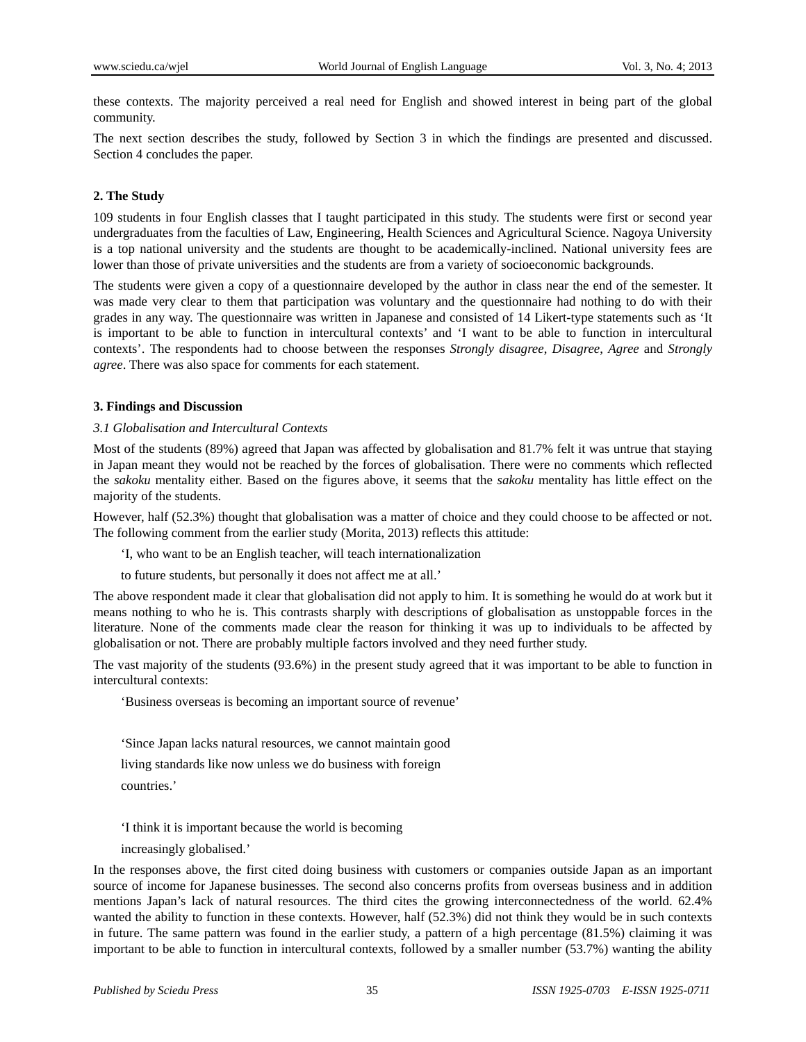these contexts. The majority perceived a real need for English and showed interest in being part of the global community.

The next section describes the study, followed by Section 3 in which the findings are presented and discussed. Section 4 concludes the paper.

### **2. The Study**

109 students in four English classes that I taught participated in this study. The students were first or second year undergraduates from the faculties of Law, Engineering, Health Sciences and Agricultural Science. Nagoya University is a top national university and the students are thought to be academically-inclined. National university fees are lower than those of private universities and the students are from a variety of socioeconomic backgrounds.

The students were given a copy of a questionnaire developed by the author in class near the end of the semester. It was made very clear to them that participation was voluntary and the questionnaire had nothing to do with their grades in any way. The questionnaire was written in Japanese and consisted of 14 Likert-type statements such as 'It is important to be able to function in intercultural contexts' and 'I want to be able to function in intercultural contexts'. The respondents had to choose between the responses *Strongly disagree*, *Disagree*, *Agree* and *Strongly agree*. There was also space for comments for each statement.

#### **3. Findings and Discussion**

#### *3.1 Globalisation and Intercultural Contexts*

Most of the students (89%) agreed that Japan was affected by globalisation and 81.7% felt it was untrue that staying in Japan meant they would not be reached by the forces of globalisation. There were no comments which reflected the *sakoku* mentality either. Based on the figures above, it seems that the *sakoku* mentality has little effect on the majority of the students.

However, half (52.3%) thought that globalisation was a matter of choice and they could choose to be affected or not. The following comment from the earlier study (Morita, 2013) reflects this attitude:

'I, who want to be an English teacher, will teach internationalization

to future students, but personally it does not affect me at all.'

The above respondent made it clear that globalisation did not apply to him. It is something he would do at work but it means nothing to who he is. This contrasts sharply with descriptions of globalisation as unstoppable forces in the literature. None of the comments made clear the reason for thinking it was up to individuals to be affected by globalisation or not. There are probably multiple factors involved and they need further study.

The vast majority of the students (93.6%) in the present study agreed that it was important to be able to function in intercultural contexts:

'Business overseas is becoming an important source of revenue'

 'Since Japan lacks natural resources, we cannot maintain good living standards like now unless we do business with foreign countries.'

'I think it is important because the world is becoming

increasingly globalised.'

In the responses above, the first cited doing business with customers or companies outside Japan as an important source of income for Japanese businesses. The second also concerns profits from overseas business and in addition mentions Japan's lack of natural resources. The third cites the growing interconnectedness of the world. 62.4% wanted the ability to function in these contexts. However, half (52.3%) did not think they would be in such contexts in future. The same pattern was found in the earlier study, a pattern of a high percentage (81.5%) claiming it was important to be able to function in intercultural contexts, followed by a smaller number (53.7%) wanting the ability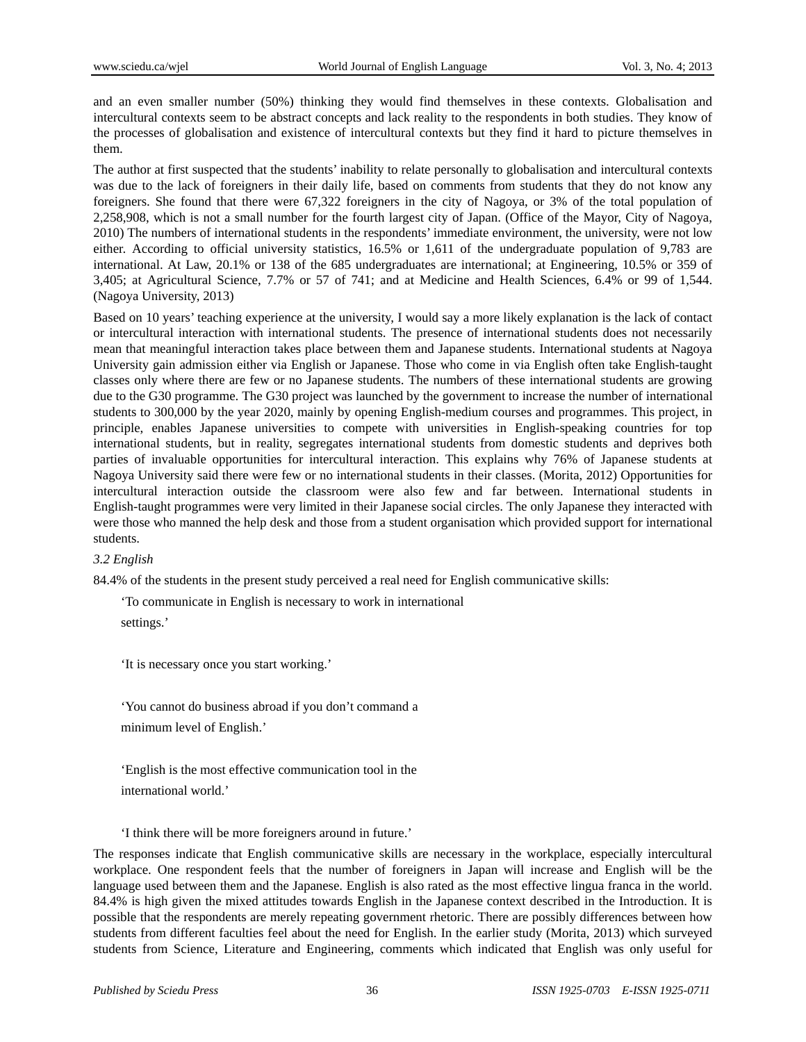and an even smaller number (50%) thinking they would find themselves in these contexts. Globalisation and intercultural contexts seem to be abstract concepts and lack reality to the respondents in both studies. They know of the processes of globalisation and existence of intercultural contexts but they find it hard to picture themselves in them.

The author at first suspected that the students' inability to relate personally to globalisation and intercultural contexts was due to the lack of foreigners in their daily life, based on comments from students that they do not know any foreigners. She found that there were 67,322 foreigners in the city of Nagoya, or 3% of the total population of 2,258,908, which is not a small number for the fourth largest city of Japan. (Office of the Mayor, City of Nagoya, 2010) The numbers of international students in the respondents' immediate environment, the university, were not low either. According to official university statistics, 16.5% or 1,611 of the undergraduate population of 9,783 are international. At Law, 20.1% or 138 of the 685 undergraduates are international; at Engineering, 10.5% or 359 of 3,405; at Agricultural Science, 7.7% or 57 of 741; and at Medicine and Health Sciences, 6.4% or 99 of 1,544. (Nagoya University, 2013)

Based on 10 years' teaching experience at the university, I would say a more likely explanation is the lack of contact or intercultural interaction with international students. The presence of international students does not necessarily mean that meaningful interaction takes place between them and Japanese students. International students at Nagoya University gain admission either via English or Japanese. Those who come in via English often take English-taught classes only where there are few or no Japanese students. The numbers of these international students are growing due to the G30 programme. The G30 project was launched by the government to increase the number of international students to 300,000 by the year 2020, mainly by opening English-medium courses and programmes. This project, in principle, enables Japanese universities to compete with universities in English-speaking countries for top international students, but in reality, segregates international students from domestic students and deprives both parties of invaluable opportunities for intercultural interaction. This explains why 76% of Japanese students at Nagoya University said there were few or no international students in their classes. (Morita, 2012) Opportunities for intercultural interaction outside the classroom were also few and far between. International students in English-taught programmes were very limited in their Japanese social circles. The only Japanese they interacted with were those who manned the help desk and those from a student organisation which provided support for international students.

#### *3.2 English*

84.4% of the students in the present study perceived a real need for English communicative skills:

'To communicate in English is necessary to work in international

settings.'

'It is necessary once you start working.'

 'You cannot do business abroad if you don't command a minimum level of English.'

 'English is the most effective communication tool in the international world.'

'I think there will be more foreigners around in future.'

The responses indicate that English communicative skills are necessary in the workplace, especially intercultural workplace. One respondent feels that the number of foreigners in Japan will increase and English will be the language used between them and the Japanese. English is also rated as the most effective lingua franca in the world. 84.4% is high given the mixed attitudes towards English in the Japanese context described in the Introduction. It is possible that the respondents are merely repeating government rhetoric. There are possibly differences between how students from different faculties feel about the need for English. In the earlier study (Morita, 2013) which surveyed students from Science, Literature and Engineering, comments which indicated that English was only useful for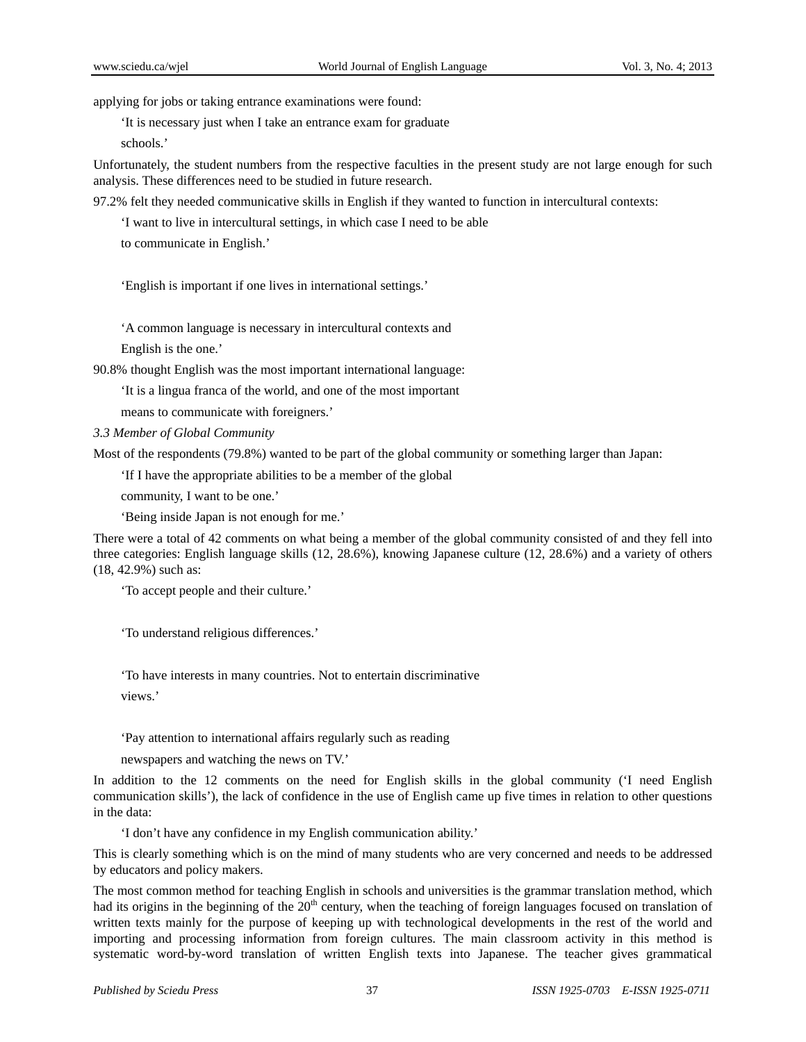applying for jobs or taking entrance examinations were found:

'It is necessary just when I take an entrance exam for graduate

schools.'

Unfortunately, the student numbers from the respective faculties in the present study are not large enough for such analysis. These differences need to be studied in future research.

97.2% felt they needed communicative skills in English if they wanted to function in intercultural contexts:

'I want to live in intercultural settings, in which case I need to be able

to communicate in English.'

'English is important if one lives in international settings.'

'A common language is necessary in intercultural contexts and

English is the one.'

90.8% thought English was the most important international language:

'It is a lingua franca of the world, and one of the most important

means to communicate with foreigners.'

*3.3 Member of Global Community* 

Most of the respondents (79.8%) wanted to be part of the global community or something larger than Japan:

'If I have the appropriate abilities to be a member of the global

community, I want to be one.'

'Being inside Japan is not enough for me.'

There were a total of 42 comments on what being a member of the global community consisted of and they fell into three categories: English language skills (12, 28.6%), knowing Japanese culture (12, 28.6%) and a variety of others (18, 42.9%) such as:

'To accept people and their culture.'

'To understand religious differences.'

 'To have interests in many countries. Not to entertain discriminative views.'

'Pay attention to international affairs regularly such as reading

newspapers and watching the news on TV.'

In addition to the 12 comments on the need for English skills in the global community ('I need English communication skills'), the lack of confidence in the use of English came up five times in relation to other questions in the data:

'I don't have any confidence in my English communication ability.'

This is clearly something which is on the mind of many students who are very concerned and needs to be addressed by educators and policy makers.

The most common method for teaching English in schools and universities is the grammar translation method, which had its origins in the beginning of the  $20<sup>th</sup>$  century, when the teaching of foreign languages focused on translation of written texts mainly for the purpose of keeping up with technological developments in the rest of the world and importing and processing information from foreign cultures. The main classroom activity in this method is systematic word-by-word translation of written English texts into Japanese. The teacher gives grammatical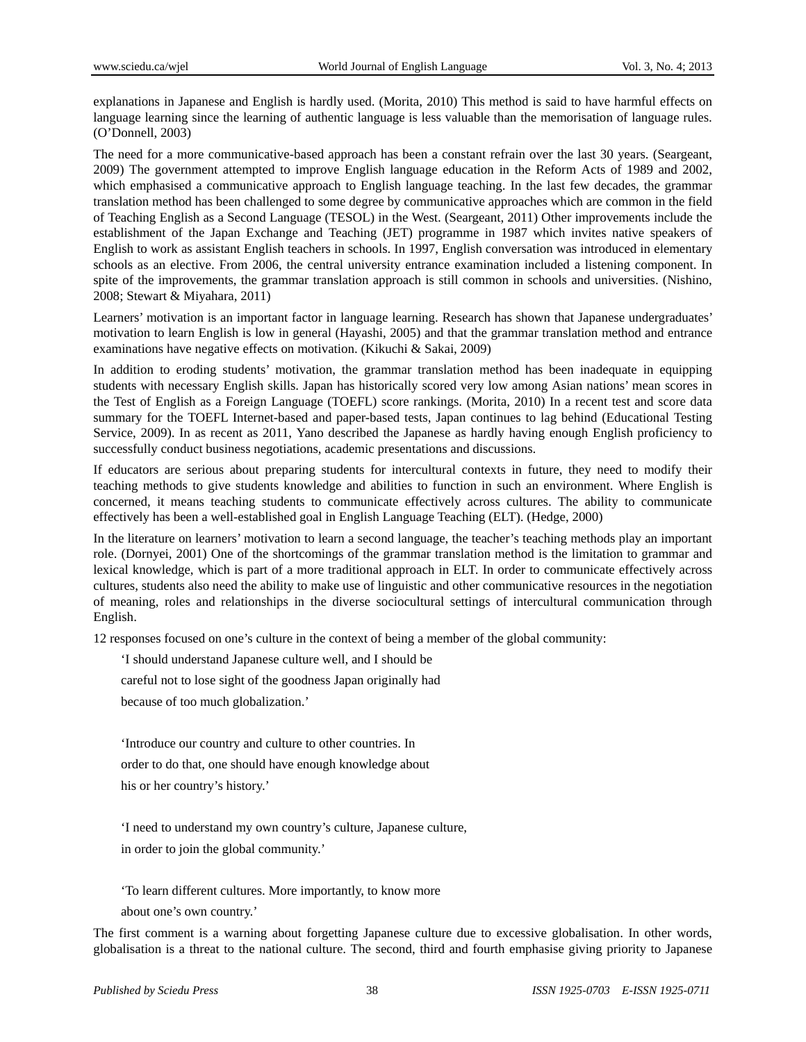explanations in Japanese and English is hardly used. (Morita, 2010) This method is said to have harmful effects on language learning since the learning of authentic language is less valuable than the memorisation of language rules. (O'Donnell, 2003)

The need for a more communicative-based approach has been a constant refrain over the last 30 years. (Seargeant, 2009) The government attempted to improve English language education in the Reform Acts of 1989 and 2002, which emphasised a communicative approach to English language teaching. In the last few decades, the grammar translation method has been challenged to some degree by communicative approaches which are common in the field of Teaching English as a Second Language (TESOL) in the West. (Seargeant, 2011) Other improvements include the establishment of the Japan Exchange and Teaching (JET) programme in 1987 which invites native speakers of English to work as assistant English teachers in schools. In 1997, English conversation was introduced in elementary schools as an elective. From 2006, the central university entrance examination included a listening component. In spite of the improvements, the grammar translation approach is still common in schools and universities. (Nishino, 2008; Stewart & Miyahara, 2011)

Learners' motivation is an important factor in language learning. Research has shown that Japanese undergraduates' motivation to learn English is low in general (Hayashi, 2005) and that the grammar translation method and entrance examinations have negative effects on motivation. (Kikuchi & Sakai, 2009)

In addition to eroding students' motivation, the grammar translation method has been inadequate in equipping students with necessary English skills. Japan has historically scored very low among Asian nations' mean scores in the Test of English as a Foreign Language (TOEFL) score rankings. (Morita, 2010) In a recent test and score data summary for the TOEFL Internet-based and paper-based tests, Japan continues to lag behind (Educational Testing Service, 2009). In as recent as 2011, Yano described the Japanese as hardly having enough English proficiency to successfully conduct business negotiations, academic presentations and discussions.

If educators are serious about preparing students for intercultural contexts in future, they need to modify their teaching methods to give students knowledge and abilities to function in such an environment. Where English is concerned, it means teaching students to communicate effectively across cultures. The ability to communicate effectively has been a well-established goal in English Language Teaching (ELT). (Hedge, 2000)

In the literature on learners' motivation to learn a second language, the teacher's teaching methods play an important role. (Dornyei, 2001) One of the shortcomings of the grammar translation method is the limitation to grammar and lexical knowledge, which is part of a more traditional approach in ELT. In order to communicate effectively across cultures, students also need the ability to make use of linguistic and other communicative resources in the negotiation of meaning, roles and relationships in the diverse sociocultural settings of intercultural communication through English.

12 responses focused on one's culture in the context of being a member of the global community:

 'I should understand Japanese culture well, and I should be careful not to lose sight of the goodness Japan originally had

because of too much globalization.'

 'Introduce our country and culture to other countries. In order to do that, one should have enough knowledge about his or her country's history.'

 'I need to understand my own country's culture, Japanese culture, in order to join the global community.'

'To learn different cultures. More importantly, to know more

about one's own country.'

The first comment is a warning about forgetting Japanese culture due to excessive globalisation. In other words, globalisation is a threat to the national culture. The second, third and fourth emphasise giving priority to Japanese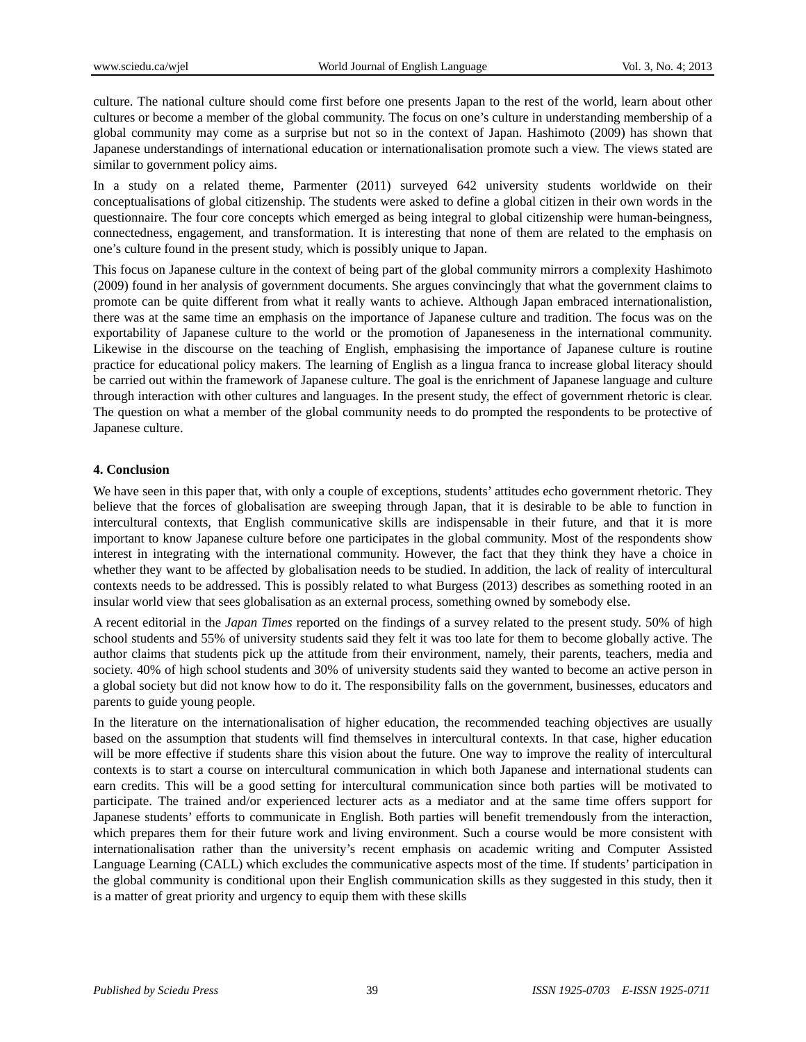culture. The national culture should come first before one presents Japan to the rest of the world, learn about other cultures or become a member of the global community. The focus on one's culture in understanding membership of a global community may come as a surprise but not so in the context of Japan. Hashimoto (2009) has shown that Japanese understandings of international education or internationalisation promote such a view. The views stated are similar to government policy aims.

In a study on a related theme, Parmenter (2011) surveyed 642 university students worldwide on their conceptualisations of global citizenship. The students were asked to define a global citizen in their own words in the questionnaire. The four core concepts which emerged as being integral to global citizenship were human-beingness, connectedness, engagement, and transformation. It is interesting that none of them are related to the emphasis on one's culture found in the present study, which is possibly unique to Japan.

This focus on Japanese culture in the context of being part of the global community mirrors a complexity Hashimoto (2009) found in her analysis of government documents. She argues convincingly that what the government claims to promote can be quite different from what it really wants to achieve. Although Japan embraced internationalistion, there was at the same time an emphasis on the importance of Japanese culture and tradition. The focus was on the exportability of Japanese culture to the world or the promotion of Japaneseness in the international community. Likewise in the discourse on the teaching of English, emphasising the importance of Japanese culture is routine practice for educational policy makers. The learning of English as a lingua franca to increase global literacy should be carried out within the framework of Japanese culture. The goal is the enrichment of Japanese language and culture through interaction with other cultures and languages. In the present study, the effect of government rhetoric is clear. The question on what a member of the global community needs to do prompted the respondents to be protective of Japanese culture.

## **4. Conclusion**

We have seen in this paper that, with only a couple of exceptions, students' attitudes echo government rhetoric. They believe that the forces of globalisation are sweeping through Japan, that it is desirable to be able to function in intercultural contexts, that English communicative skills are indispensable in their future, and that it is more important to know Japanese culture before one participates in the global community. Most of the respondents show interest in integrating with the international community. However, the fact that they think they have a choice in whether they want to be affected by globalisation needs to be studied. In addition, the lack of reality of intercultural contexts needs to be addressed. This is possibly related to what Burgess (2013) describes as something rooted in an insular world view that sees globalisation as an external process, something owned by somebody else.

A recent editorial in the *Japan Times* reported on the findings of a survey related to the present study. 50% of high school students and 55% of university students said they felt it was too late for them to become globally active. The author claims that students pick up the attitude from their environment, namely, their parents, teachers, media and society. 40% of high school students and 30% of university students said they wanted to become an active person in a global society but did not know how to do it. The responsibility falls on the government, businesses, educators and parents to guide young people.

In the literature on the internationalisation of higher education, the recommended teaching objectives are usually based on the assumption that students will find themselves in intercultural contexts. In that case, higher education will be more effective if students share this vision about the future. One way to improve the reality of intercultural contexts is to start a course on intercultural communication in which both Japanese and international students can earn credits. This will be a good setting for intercultural communication since both parties will be motivated to participate. The trained and/or experienced lecturer acts as a mediator and at the same time offers support for Japanese students' efforts to communicate in English. Both parties will benefit tremendously from the interaction, which prepares them for their future work and living environment. Such a course would be more consistent with internationalisation rather than the university's recent emphasis on academic writing and Computer Assisted Language Learning (CALL) which excludes the communicative aspects most of the time. If students' participation in the global community is conditional upon their English communication skills as they suggested in this study, then it is a matter of great priority and urgency to equip them with these skills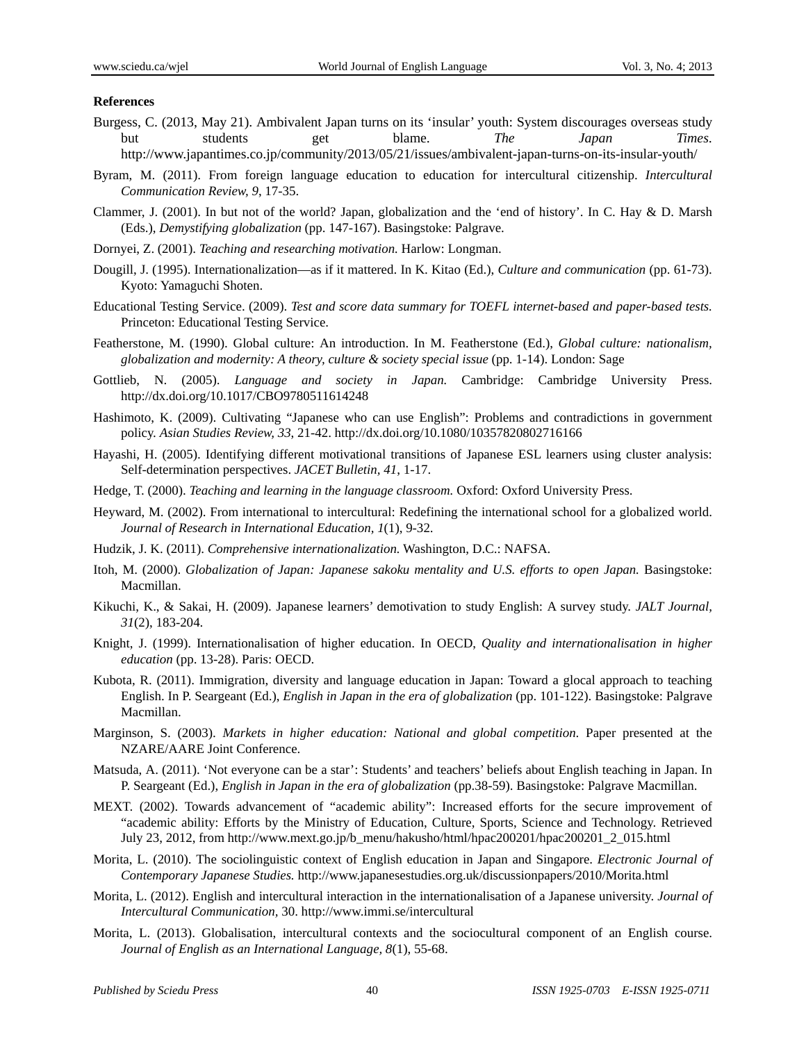#### **References**

- Burgess, C. (2013, May 21). Ambivalent Japan turns on its 'insular' youth: System discourages overseas study but students get blame. *The Japan Times*. http://www.japantimes.co.jp/community/2013/05/21/issues/ambivalent-japan-turns-on-its-insular-youth/
- Byram, M. (2011). From foreign language education to education for intercultural citizenship. *Intercultural Communication Review, 9*, 17-35.
- Clammer, J. (2001). In but not of the world? Japan, globalization and the 'end of history'. In C. Hay & D. Marsh (Eds.), *Demystifying globalization* (pp. 147-167). Basingstoke: Palgrave.
- Dornyei, Z. (2001). *Teaching and researching motivation.* Harlow: Longman.
- Dougill, J. (1995). Internationalization—as if it mattered. In K. Kitao (Ed.), *Culture and communication* (pp. 61-73). Kyoto: Yamaguchi Shoten.
- Educational Testing Service. (2009). *Test and score data summary for TOEFL internet-based and paper-based tests.* Princeton: Educational Testing Service.
- Featherstone, M. (1990). Global culture: An introduction. In M. Featherstone (Ed.), *Global culture: nationalism, globalization and modernity: A theory, culture & society special issue* (pp. 1-14). London: Sage
- Gottlieb, N. (2005). *Language and society in Japan.* Cambridge: Cambridge University Press. http://dx.doi.org/10.1017/CBO9780511614248
- Hashimoto, K. (2009). Cultivating "Japanese who can use English": Problems and contradictions in government policy. *Asian Studies Review, 33*, 21-42. http://dx.doi.org/10.1080/10357820802716166
- Hayashi, H. (2005). Identifying different motivational transitions of Japanese ESL learners using cluster analysis: Self-determination perspectives. *JACET Bulletin, 41*, 1-17.
- Hedge, T. (2000). *Teaching and learning in the language classroom.* Oxford: Oxford University Press.
- Heyward, M. (2002). From international to intercultural: Redefining the international school for a globalized world. *Journal of Research in International Education, 1*(1), 9-32.
- Hudzik, J. K. (2011). *Comprehensive internationalization.* Washington, D.C.: NAFSA.
- Itoh, M. (2000). *Globalization of Japan: Japanese sakoku mentality and U.S. efforts to open Japan.* Basingstoke: Macmillan.
- Kikuchi, K., & Sakai, H. (2009). Japanese learners' demotivation to study English: A survey study. *JALT Journal, 31*(2), 183-204.
- Knight, J. (1999). Internationalisation of higher education. In OECD, *Quality and internationalisation in higher education* (pp. 13-28). Paris: OECD.
- Kubota, R. (2011). Immigration, diversity and language education in Japan: Toward a glocal approach to teaching English. In P. Seargeant (Ed.), *English in Japan in the era of globalization* (pp. 101-122). Basingstoke: Palgrave Macmillan.
- Marginson, S. (2003). *Markets in higher education: National and global competition*. Paper presented at the NZARE/AARE Joint Conference.
- Matsuda, A. (2011). 'Not everyone can be a star': Students' and teachers' beliefs about English teaching in Japan. In P. Seargeant (Ed.), *English in Japan in the era of globalization* (pp.38-59). Basingstoke: Palgrave Macmillan.
- MEXT. (2002). Towards advancement of "academic ability": Increased efforts for the secure improvement of "academic ability: Efforts by the Ministry of Education, Culture, Sports, Science and Technology. Retrieved July 23, 2012, from http://www.mext.go.jp/b\_menu/hakusho/html/hpac200201/hpac200201\_2\_015.html
- Morita, L. (2010). The sociolinguistic context of English education in Japan and Singapore. *Electronic Journal of Contemporary Japanese Studies.* http://www.japanesestudies.org.uk/discussionpapers/2010/Morita.html
- Morita, L. (2012). English and intercultural interaction in the internationalisation of a Japanese university. *Journal of Intercultural Communication,* 30. http://www.immi.se/intercultural
- Morita, L. (2013). Globalisation, intercultural contexts and the sociocultural component of an English course. *Journal of English as an International Language, 8*(1), 55-68.